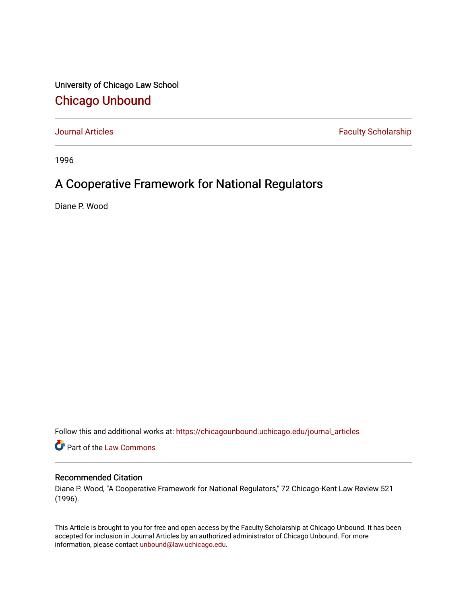University of Chicago Law School [Chicago Unbound](https://chicagounbound.uchicago.edu/)

[Journal Articles](https://chicagounbound.uchicago.edu/journal_articles) **Faculty Scholarship Faculty Scholarship** 

1996

## A Cooperative Framework for National Regulators

Diane P. Wood

Follow this and additional works at: [https://chicagounbound.uchicago.edu/journal\\_articles](https://chicagounbound.uchicago.edu/journal_articles?utm_source=chicagounbound.uchicago.edu%2Fjournal_articles%2F2038&utm_medium=PDF&utm_campaign=PDFCoverPages) 

Part of the [Law Commons](http://network.bepress.com/hgg/discipline/578?utm_source=chicagounbound.uchicago.edu%2Fjournal_articles%2F2038&utm_medium=PDF&utm_campaign=PDFCoverPages)

## Recommended Citation

Diane P. Wood, "A Cooperative Framework for National Regulators," 72 Chicago-Kent Law Review 521 (1996).

This Article is brought to you for free and open access by the Faculty Scholarship at Chicago Unbound. It has been accepted for inclusion in Journal Articles by an authorized administrator of Chicago Unbound. For more information, please contact [unbound@law.uchicago.edu](mailto:unbound@law.uchicago.edu).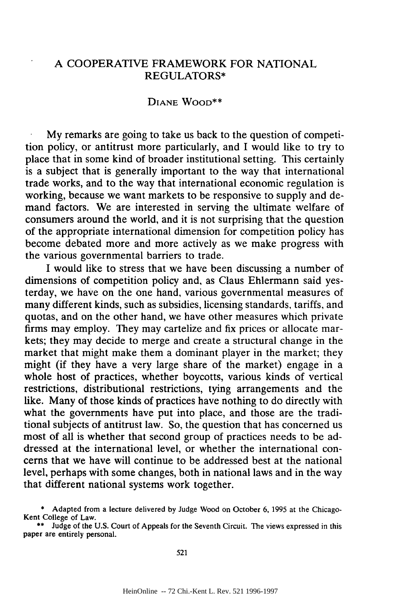## A COOPERATIVE FRAMEWORK FOR NATIONAL REGULATORS\*

## **DIANE WOOD\*\***

My remarks are going to take us back to the question of competition policy, or antitrust more particularly, and I would like to try to place that in some kind of broader institutional setting. This certainly is a subject that is generally important to the way that international trade works, and to the way that international economic regulation is working, because we want markets to be responsive to supply and demand factors. We are interested in serving the ultimate welfare of consumers around the world, and it is not surprising that the question of the appropriate international dimension for competition policy has become debated more and more actively as we make progress with the various governmental barriers to trade.

I would like to stress that we have been discussing a number of dimensions of competition policy and, as Claus Ehlermann said yesterday, we have on the one hand, various governmental measures of many different kinds, such as subsidies, licensing standards, tariffs, and quotas, and on the other hand, we have other measures which private firms may employ. They may cartelize and fix prices or allocate markets; they may decide to merge and create a structural change in the market that might make them a dominant player in the market; they might (if they have a very large share of the market) engage in a whole host of practices, whether boycotts, various kinds of vertical restrictions, distributional restrictions, tying arrangements and the like. Many of those kinds of practices have nothing to do directly with what the governments have put into place, and those are the traditional subjects of antitrust law. So, the question that has concerned us most of all is whether that second group of practices needs to be addressed at the international level, or whether the international concerns that we have will continue to be addressed best at the national level, perhaps with some changes, both in national laws and in the way that different national systems work together.

Adapted from a lecture delivered by Judge Wood on October 6, 1995 at the Chicago-Kent College of Law.

<sup>\*\*</sup> Judge of the U.S. Court of Appeals for the Seventh Circuit. The views expressed in this paper are entirely personal.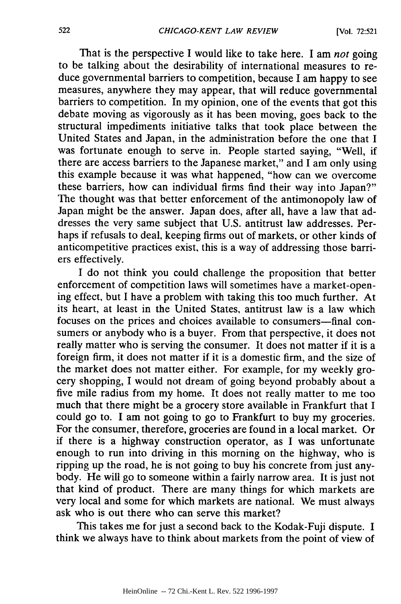That is the perspective I would like to take here. I am *not* going to be talking about the desirability of international measures to reduce governmental barriers to competition, because I am happy to see measures, anywhere they may appear, that will reduce governmental barriers to competition. In my opinion, one of the events that got this debate moving as vigorously as it has been moving, goes back to the structural impediments initiative talks that took place between the United States and Japan, in the administration before the one that I was fortunate enough to serve in. People started saying, "Well, if there are access barriers to the Japanese market," and I am only using this example because it was what happened, "how can we overcome these barriers, how can individual firms find their way into Japan?" The thought was that better enforcement of the antimonopoly law of Japan might be the answer. Japan does, after all, have a law that addresses the very same subject that U.S. antitrust law addresses. Perhaps if refusals to deal, keeping firms out of markets, or other kinds of anticompetitive practices exist, this is a way of addressing those barriers effectively.

I do not think you could challenge the proposition that better enforcement of competition laws will sometimes have a market-opening effect, but I have a problem with taking this too much further. At its heart, at least in the United States, antitrust law is a law which focuses on the prices and choices available to consumers-final consumers or anybody who is a buyer. From that perspective, it does not really matter who is serving the consumer. It does not matter if it is a foreign firm, it does not matter if it is a domestic firm, and the size of the market does not matter either. For example, for my weekly grocery shopping, I would not dream of going beyond probably about a five mile radius from my home. It does not really matter to me too much that there might be a grocery store available in Frankfurt that I could go to. I am not going to go to Frankfurt to buy my groceries. For the consumer, therefore, groceries are found in a local market. Or if there is a highway construction operator, as I was unfortunate enough to run into driving in this morning on the highway, who is ripping up the road, he is not going to buy his concrete from just anybody. He will go to someone within a fairly narrow area. It is just not that kind of product. There are many things for which markets are very local and some for which markets are national. We must always ask who is out there who can serve this market?

This takes me for just a second back to the Kodak-Fuji dispute. I think we always have to think about markets from the point of view of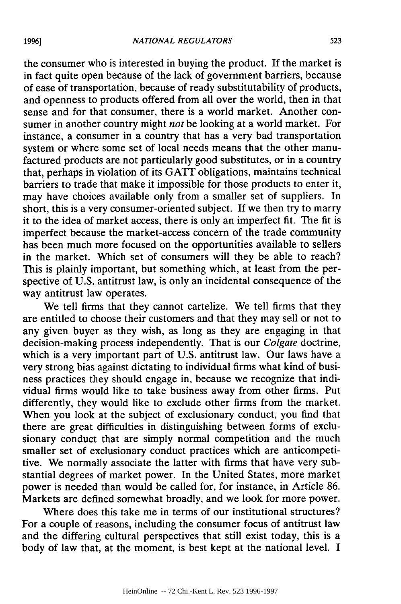the consumer who is interested in buying the product. If the market is in fact quite open because of the lack of government barriers, because of ease of transportation, because of ready substitutability of products, and openness to products offered from all over the world, then in that sense and for that consumer, there is a world market. Another consumer in another country might *not* be looking at a world market. For instance, a consumer in a country that has a very bad transportation system or where some set of local needs means that the other manufactured products are not particularly good substitutes, or in a country that, perhaps in violation of its GATT obligations, maintains technical barriers to trade that make it impossible for those products to enter it, may have choices available only from a smaller set of suppliers. In short, this is a very consumer-oriented subject. If we then try to marry it to the idea of market access, there is only an imperfect fit. The fit is imperfect because the market-access concern of the trade community has been much more focused on the opportunities available to sellers in the market. Which set of consumers will they be able to reach? This is plainly important, but something which, at least from the perspective of U.S. antitrust law, is only an incidental consequence of the way antitrust law operates.

We tell firms that they cannot cartelize. We tell firms that they are entitled to choose their customers and that they may sell or not to any given buyer as they wish, as long as they are engaging in that decision-making process independently. That is our *Colgate* doctrine, which is a very important part of U.S. antitrust law. Our laws have a very strong bias against dictating to individual firms what kind of business practices they should engage in, because we recognize that individual firms would like to take business away from other firms. Put differently, they would like to exclude other firms from the market. When you look at the subject of exclusionary conduct, you find that there are great difficulties in distinguishing between forms of exclusionary conduct that are simply normal competition and the much smaller set of exclusionary conduct practices which are anticompetitive. We normally associate the latter with firms that have very substantial degrees of market power. In the United States, more market power is needed than would be called for, for instance, in Article 86. Markets are defined somewhat broadly, and we look for more power.

Where does this take me in terms of our institutional structures? For a couple of reasons, including the consumer focus of antitrust law and the differing cultural perspectives that still exist today, this is a body of law that, at the moment, is best kept at the national level. I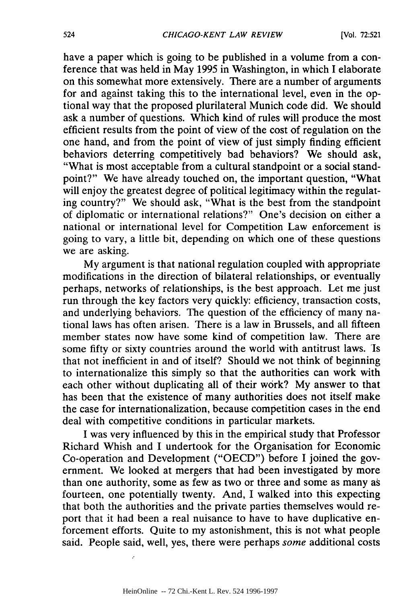have a paper which is going to be published in a volume from a conference that was held in May 1995 in Washington, in which I elaborate on this somewhat more extensively. There are a number of arguments for and against taking this to the international level, even in the optional way that the proposed plurilateral Munich code did. We should ask a number of questions. Which kind of rules will produce the most efficient results from the point of view of the cost of regulation on the one hand, and from the point of view of just simply finding efficient behaviors deterring competitively bad behaviors? We should ask, "What is most acceptable from a cultural standpoint or a social standpoint?" We have already touched on, the important question, "What will enjoy the greatest degree of political legitimacy within the regulating country?" We should ask, "What is the best from the standpoin of diplomatic or international relations?" One's decision on either a national or international level for Competition Law enforcement is going to vary, a little bit, depending on which one of these questions we are asking.

My argument is that national regulation coupled with appropriate modifications in the direction of bilateral relationships, or eventually perhaps, networks of relationships, is the best approach. Let me just run through the key factors very quickly: efficiency, transaction costs, and underlying behaviors. The question of the efficiency of many national laws has often arisen. There is a law in Brussels, and all fifteen member states now have some kind of competition law. There are some fifty or sixty countries around the world with antitrust laws. 'Is that not inefficient in and of itself? Should we not think of beginning to internationalize this simply so that the authorities can work with each other without duplicating all of their work? My answer to that has been that the existence of many authorities does not itself make the case for internationalization, because competition cases in the end deal with competitive conditions in particular markets.

I was very influenced by this in the empirical study that Professor Richard Whish and I undertook for the Organisation for Economic Co-operation and Development ("OECD") before I joined the government. We looked at mergers that had been investigated by more than one authority, some as few as two or three and some as many as fourteen, one potentially twenty. And, I walked into this expecting that both the authorities and the private parties themselves would report that it had been a real nuisance to have to have duplicative enforcement efforts. Quite to my astonishment, this is not what people said. People said, well, yes, there were perhaps *some* additional costs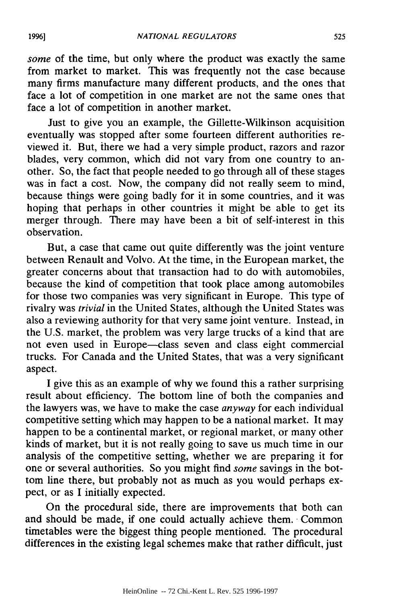*some* of the time, but only where the product was exactly the same from market to market. This was frequently not the case because many firms manufacture many different products, and the ones that face a lot of competition in one market are not the same ones that face a lot of competition in another market.

Just to give you an example, the Gillette-Wilkinson acquisition eventually was stopped after some fourteen different authorities reviewed it. But, there we had a very simple product, razors and razor blades, very common, which did not vary from one country to another. So, the fact that people needed to go through all of these stages was in fact a cost. Now, the company did not really seem to mind, because things were going badly for it in some countries, and it was hoping that perhaps in other countries it might be able to get its merger through. There may have been a bit of self-interest in this observation.

But, a case that came out quite differently was the joint venture between Renault and Volvo. At the time, in the European market, the greater concerns about that transaction had to do with automobiles, because the kind of competition that took place among automobiles for those two companies was very significant in Europe. This type of rivalry was *trivial* in the United States, although the United States was also a reviewing authority for that very same joint venture. Instead, in the U.S. market, the problem was very large trucks of a kind that are not even used in Europe-class seven and class eight commercial trucks. For Canada and the United States, that was a very significant aspect.

I give this as an example of why we found this a rather surprising result about efficiency. The bottom line of both the companies and the lawyers was, we have to make the case *anyway* for each individual competitive setting which may happen to be a national market. It may happen to be a continental market, or regional market, or many other kinds of market, but it is not really going to save us much time in our analysis of the competitive setting, whether we are preparing it for one or several authorities. So you might find *some* savings in the bottom line there, but probably not as much as you would perhaps expect, or as I initially expected.

On the procedural side, there are improvements that both can and should be made, if one could actually achieve them. Common timetables were the biggest thing people mentioned. The procedural differences in the existing legal schemes make that rather difficult, just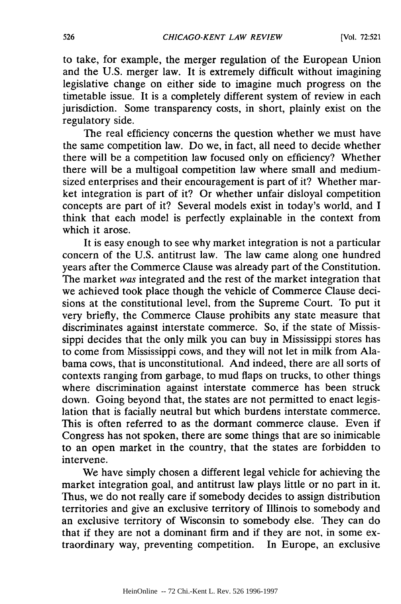to take, for example, the merger regulation of the European Union and the U.S. merger law. It is extremely difficult without imagining legislative change on either side to imagine much progress on the timetable issue. It is a completely different system of review in each jurisdiction. Some transparency costs, in short, plainly exist on the regulatory side.

The real efficiency concerns the question whether we must have the same competition law. Do we, in fact, all need to decide whether there will be a competition law focused only on efficiency? Whether there will be a multigoal competition law where small and mediumsized enterprises and their encouragement is part of it? Whether market integration is part of it? Or whether unfair disloyal competition concepts are part of it? Several models exist in today's world, and I think that each model is perfectly explainable in the context from which it arose.

It is easy enough to see why market integration is not a particular concern of the U.S. antitrust law. The law came along one hundred years after the Commerce Clause was already part of the Constitution. The market was integrated and the rest of the market integration that we achieved took place though the vehicle of Commerce Clause decisions at the constitutional level, from the Supreme Court. To put it very briefly, the Commerce Clause prohibits any state measure that discriminates against interstate commerce. So, if the state of Mississippi decides that the only milk you can buy in Mississippi stores has to come from Mississippi cows, and they will not let in milk from Alabama cows, that is unconstitutional. And indeed, there are all sorts of contexts ranging from garbage, to mud flaps on trucks, to other things where discrimination against interstate commerce has been struck down. Going beyond that, the states are not permitted to enact legislation that is facially neutral but which burdens interstate commerce. This is often referred to as the dormant commerce clause. Even if Congress has not spoken, there are some things that are so inimicable to an open market in the country, that the states are forbidden to intervene.

We have simply chosen a different legal vehicle for achieving the market integration goal, and antitrust law plays little or no part in it. Thus, we do not really care if somebody decides to assign distribution territories and give an exclusive territory of Illinois to somebody and an exclusive territory of Wisconsin to somebody else. They can do that if they are not a dominant firm and if they are not, in some extraordinary way, preventing competition. In Europe, an exclusive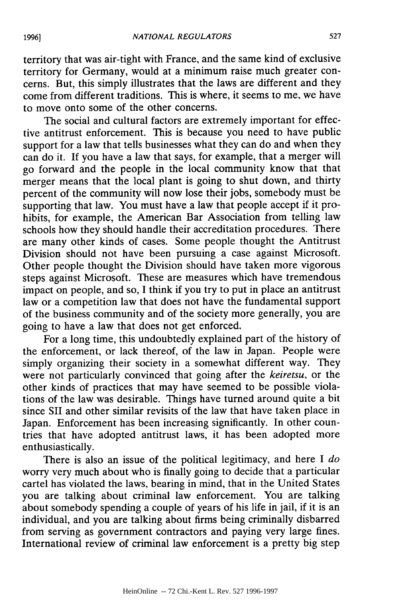territory that was air-tight with France, and the same kind of exclusive territory for Germany, would at a minimum raise much greater concerns. But, this simply illustrates that the laws are different and they come from different traditions. This is where, it seems to me, we have to move onto some of the other concerns.

The social and cultural factors are extremely important for effective antitrust enforcement. This is because you need to have public support for a law that tells businesses what they can do and when they can do it. If you have a law that says, for example, that a merger will go forward and the people in the local community know that that merger means that the local plant is going to shut down, and thirty percent of the community will now lose their jobs, somebody must be supporting that law. You must have a law that people accept if it prohibits, for example, the American Bar Association from telling law schools how they should handle their accreditation procedures. There are many other kinds of cases. Some people thought the Antitrust Division should not have been pursuing a case against Microsoft. Other people thought the Division should have taken more vigorous steps against Microsoft. These are measures which have tremendous impact on people, and so, I think if you try to put in place an antitrust law or a competition law that does not have the fundamental support of the business community and of the society more generally, you are going to have a law that does not get enforced.

For a long time, this undoubtedly explained part of the history of the enforcement, or lack thereof, of the law in Japan. People were simply organizing their society in a somewhat different way. They were not particularly convinced that going after the *keiretsu,* or the other kinds of practices that may have seemed to be possible violations of the law was desirable. Things have turned around quite a bit since SII and other similar revisits of the law that have taken place in Japan. Enforcement has been increasing significantly. In other countries that have adopted antitrust laws, it has been adopted more enthusiastically.

There is also an issue of the political legitimacy, and here I *do* worry very much about who is finally going to decide that a particular cartel has violated the laws, bearing in mind, that in the United States you are talking about criminal law enforcement. You are talking about somebody spending a couple of years of his life in jail, if it is an individual, and you are talking about firms being criminally disbarred from serving as government contractors and paying very large fines. International review of criminal law enforcement is a pretty big step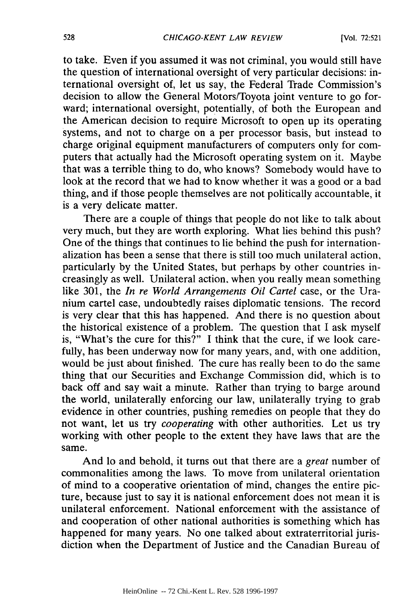to take. Even if you assumed it was not criminal, you would still have the question of international oversight of very particular decisions: international oversight of, let us say, the Federal Trade Commission's decision to allow the General Motors/Toyota joint venture to go forward; international oversight, potentially, of both the European and the American decision to require Microsoft to open up its operating systems, and not to charge on a per processor basis, but instead to charge original equipment manufacturers of computers only for computers that actually had the Microsoft operating system on it. Maybe that was a terrible thing to do, who knows? Somebody would have to look at the record that we had to know whether it was a good or a bad thing, and if those people themselves are not politically accountable, it is a very delicate matter.

There are a couple of things that people do not like to talk about very much, but they are worth exploring. What lies behind this push? One of the things that continues to lie behind the push for internationalization has been a sense that there is still too much unilateral action, particularly by the United States, but perhaps by other countries increasingly as well. Unilateral action, when you really mean something like 301, the *In re World Arrangements Oil Cartel* case, or the Uranium cartel case, undoubtedly raises diplomatic tensions. The record is very clear that this has happened. And there is no question about the historical existence of a problem. The question that I ask myself is, "What's the cure for this?" I think that the cure, if we look carefully, has been underway now for many years, and, with one addition, would be just about finished. The cure has really been to do the same thing that our Securities and Exchange Commission did, which is to back off and say wait a minute. Rather than trying to barge around the world, unilaterally enforcing our law, unilaterally trying to grab evidence in other countries, pushing remedies on people that they do not want, let us try *cooperating* with other authorities. Let us try working with other people to the extent they have laws that are the same.

And lo and behold, it turns out that there are a *great* number of commonalities among the laws. To move from unilateral orientation of mind to a cooperative orientation of mind, changes the entire picture, because just to say it is national enforcement does not mean it is unilateral enforcement. National enforcement with the assistance of and cooperation of other national authorities is something which has happened for many years. No one talked about extraterritorial jurisdiction when the Department of Justice and the Canadian Bureau of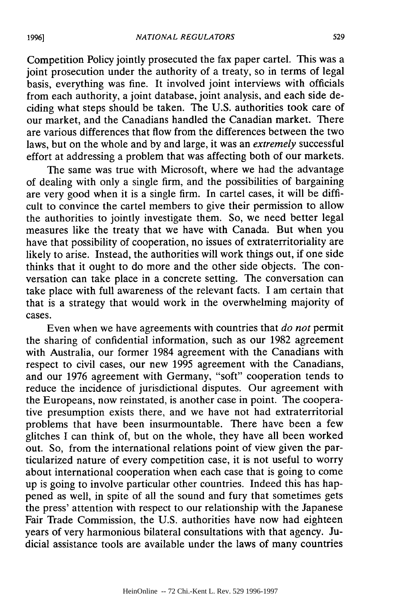Competition Policy jointly prosecuted the fax paper cartel. This was a joint prosecution under the authority of a treaty, so in terms of legal basis, everything was fine. It involved joint interviews with officials from each authority, a joint database, joint analysis, and each side deciding what steps should be taken. The U.S. authorities took care of our market, and the Canadians handled the Canadian market. There are various differences that flow from the differences between the two laws, but on the whole and by and large, it was an *extremely* successful effort at addressing a problem that was affecting both of our markets.

The same was true with Microsoft, where we had the advantage of dealing with only a single firm, and the possibilities of bargaining are very good when it is a single firm. In cartel cases, it will be difficult to convince the cartel members to give their permission to allow the authorities to jointly investigate them. So, we need better legal measures like the treaty that we have with Canada. But when you have that possibility of cooperation, no issues of extraterritoriality are likely to arise. Instead, the authorities will work things out, if one side thinks that it ought to do more and the other side objects. The conversation can take place in a concrete setting. The conversation can take place with full awareness of the relevant facts. I am certain that that is a strategy that would work in the overwhelming majority of cases.

Even when we have agreements with countries that *do not* permit the sharing of confidential information, such as our 1982 agreement with Australia, our former 1984 agreement with the Canadians with respect to civil cases, our new 1995 agreement with the Canadians, and our 1976 agreement with Germany, "soft" cooperation tends to reduce the incidence of jurisdictional disputes. Our agreement with the Europeans, now reinstated, is another case in point. The cooperative presumption exists there, and we have not had extraterritorial problems that have been insurmountable. There have been a few glitches I can think of, but on the whole, they have all been worked out. So, from the international relations point of view given the particularized nature of every competition case, it is not useful to worry about international cooperation when each case that is going to come up is going to involve particular other countries. Indeed this has happened as well, in spite of all the sound and fury that sometimes gets the press' attention with respect to our relationship with the Japanese Fair Trade Commission, the U.S. authorities have now had eighteen years of very harmonious bilateral consultations with that agency. Judicial assistance tools are available under the laws of many countries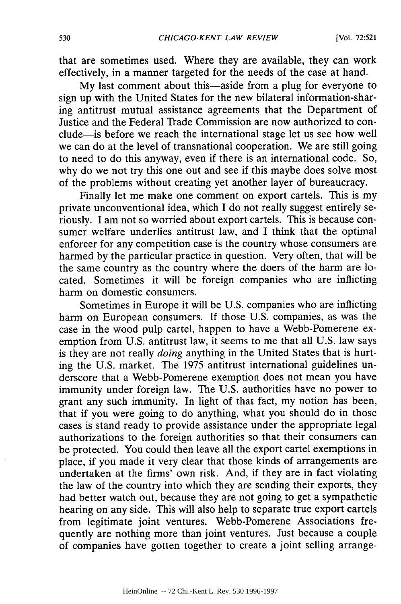that are sometimes used. Where they are available, they can work effectively, in a manner targeted for the needs of the case at hand.

My last comment about this-aside from a plug for everyone to sign up with the United States for the new bilateral information-sharing antitrust mutual assistance agreements that the Department of Justice and the Federal Trade Commission are now authorized to conclude-is before we reach the international stage let us see how well we can do at the level of transnational cooperation. We are still going to need to do this anyway, even if there is an international code. So, why do we not try this one out and see if this maybe does solve most of the problems without creating yet another layer of bureaucracy.

Finally let me make one comment on export cartels. This is my private unconventional idea, which I do not really suggest entirely seriously. I am not so worried about export cartels. This is because consumer welfare underlies antitrust law, and I think that the optimal enforcer for any competition case is the country whose consumers are harmed by the particular practice in question. Very often, that will be the same country as the country where the doers of the harm are located. Sometimes it will be foreign companies who are inflicting harm on domestic consumers.

Sometimes in Europe it will be U.S. companies who are inflicting harm on European consumers. **If** those U.S. companies, as was the case in the wood pulp cartel, happen to have a Webb-Pomerene exemption from U.S. antitrust law, it seems to me that all U.S. law says is they are not really *doing* anything in the United States that is hurting the U.S. market. The 1975 antitrust international guidelines underscore that a Webb-Pomerene exemption does not mean you have immunity under foreign law. The U.S. authorities have no power to grant any such immunity. In light of that fact, my notion has been, that if you were going to do anything, what you should do in those cases is stand ready to provide assistance under the appropriate legal authorizations to the foreign authorities so that their consumers can be protected. You could then leave all the export cartel exemptions in place, if you made it very clear that those kinds of arrangements are undertaken at the firms' own risk. And, if they are in fact violating the law of the country into which they are sending their exports, they had better watch out, because they are not going to get a sympathetic hearing on any side. This will also help to separate true export cartels from legitimate joint ventures. Webb-Pomerene Associations frequently are nothing more than joint ventures. Just because a couple of companies have gotten together to create a joint selling arrange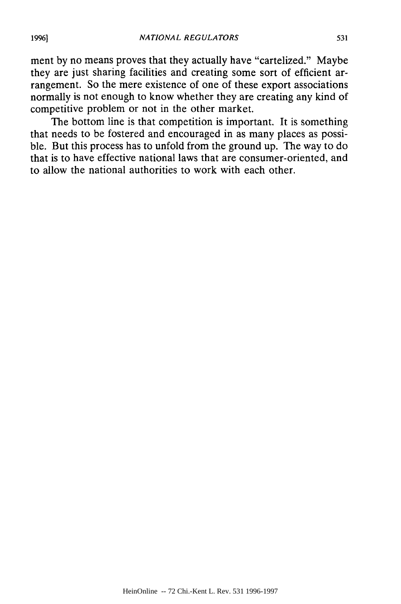ment by no means proves that they actually have "cartelized." Maybe they are just sharing facilities and creating some sort of efficient arrangement. So the mere existence of one of these export associations normally is not enough to know whether they are creating any kind of competitive problem or not in the other market.

The bottom line is that competition is important. It is something that needs to be fostered and encouraged in as many places as possible. But this process has to unfold from the ground up. The way to do that is to have effective national laws that are consumer-oriented, and to allow the national authorities to work with each other.